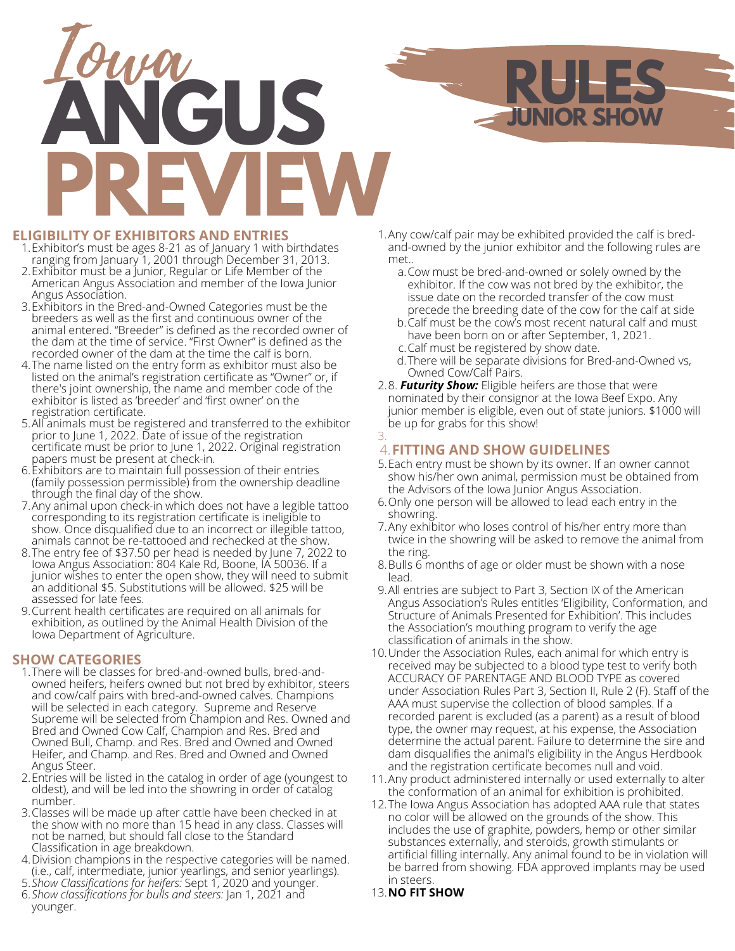

### **ELIGIBILITY OF EXHIBITORS AND ENTRIES**

- Exhibitor's must be ages 8-21 as of January 1 with birthdates 1. ranging from January 1, 2001 through December 31, 2013.
- Exhibitor must be a Junior, Regular or Life Member of the 2. American Angus Association and member of the Iowa Junior Angus Association.
- Exhibitors in the Bred-and-Owned Categories must be the 3. breeders as well as the first and continuous owner of the animal entered. "Breeder" is defined as the recorded owner of the dam at the time of service. "First Owner" is defined as the recorded owner of the dam at the time the calf is born.
- The name listed on the entry form as exhibitor must also be 4. listed on the animal's registration certificate as "Owner" or, if there's joint ownership, the name and member code of the exhibitor is listed as 'breeder' and 'first owner' on the registration certificate.
- All animals must be registered and transferred to the exhibitor prior to June 1, 2022. Date of issue of the registration certificate must be prior to June 1, 2022. Original registration papers must be present at check-in. 5.
- Exhibitors are to maintain full possession of their entries 6. (family possession permissible) from the ownership deadline through the final day of the show.
- Any animal upon check-in which does not have a legible tattoo 7. corresponding to its registration certificate is ineligible to show. Once disqualified due to an incorrect or illegible tattoo, animals cannot be re-tattooed and rechecked at the show.
- The entry fee of \$37.50 per head is needed by June 7, 2022 to 8. Iowa Angus Association: 804 Kale Rd, Boone, IA 50036. If a junior wishes to enter the open show, they will need to submit an additional \$5. Substitutions will be allowed. \$25 will be assessed for late fees.
- Current health certificates are required on all animals for 9. exhibition, as outlined by the Animal Health Division of the Iowa Department of Agriculture.

### **SHOW CATEGORIES**

- There will be classes for bred-and-owned bulls, bred-and-1. owned heifers, heifers owned but not bred by exhibitor, steers and cow/calf pairs with bred-and-owned calves. Champions will be selected in each category. Supreme and Reserve Supreme will be selected from Champion and Res. Owned and Bred and Owned Cow Calf, Champion and Res. Bred and Owned Bull, Champ. and Res. Bred and Owned and Owned Heifer, and Champ. and Res. Bred and Owned and Owned Angus Steer.
- Entries will be listed in the catalog in order of age (youngest to 2. oldest), and will be led into the showring in order of catalog number.
- 3. Classes will be made up after cattle have been checked in at the show with no more than 15 head in any class. Classes will not be named, but should fall close to the Standard Classification in age breakdown.
- Division champions in the respective categories will be named. 4. (i.e., calf, intermediate, junior yearlings, and senior yearlings).
- *Show Classifications for heifers:* Sept 1, 2020 and younger. 5.
- *Show classifications for bulls and steers:* Jan 1, 2021 and 6. younger.

Any cow/calf pair may be exhibited provided the calf is bred-1. and-owned by the junior exhibitor and the following rules are met..

**JUNIOR SHOW**

- Cow must be bred-and-owned or solely owned by the a. exhibitor. If the cow was not bred by the exhibitor, the issue date on the recorded transfer of the cow must precede the breeding date of the cow for the calf at side
- b.Calf must be the cow's most recent natural calf and must have been born on or after September, 1, 2021.
- Calf must be registered by show date. c.
- There will be separate divisions for Bred-and-Owned vs, d. Owned Cow/Calf Pairs.
- 8. *Futurity Show:* Eligible heifers are those that were 2. nominated by their consignor at the Iowa Beef Expo. Any junior member is eligible, even out of state juniors. \$1000 will be up for grabs for this show! 3.

# **FITTING AND SHOW GUIDELINES** 4.

- Each entry must be shown by its owner. If an owner cannot 5. show his/her own animal, permission must be obtained from the Advisors of the Iowa Junior Angus Association.
- Only one person will be allowed to lead each entry in the 6. showring.
- Any exhibitor who loses control of his/her entry more than 7. twice in the showring will be asked to remove the animal from the ring.
- 8.Bulls 6 months of age or older must be shown with a nose lead.
- All entries are subject to Part 3, Section IX of the American 9. Angus Association's Rules entitles 'Eligibility, Conformation, and Structure of Animals Presented for Exhibition'. This includes the Association's mouthing program to verify the age classification of animals in the show.
- 10. Under the Association Rules, each animal for which entry is received may be subjected to a blood type test to verify both ACCURACY OF PARENTAGE AND BLOOD TYPE as covered under Association Rules Part 3, Section II, Rule 2 (F). Staff of the AAA must supervise the collection of blood samples. If a recorded parent is excluded (as a parent) as a result of blood type, the owner may request, at his expense, the Association determine the actual parent. Failure to determine the sire and dam disqualifies the animal's eligibility in the Angus Herdbook and the registration certificate becomes null and void.
- Any product administered internally or used externally to alter 11. the conformation of an animal for exhibition is prohibited.
- 12. The Iowa Angus Association has adopted AAA rule that states no color will be allowed on the grounds of the show. This includes the use of graphite, powders, hemp or other similar substances externally, and steroids, growth stimulants or artificial filling internally. Any animal found to be in violation will be barred from showing. FDA approved implants may be used in steers.
- **NO FIT SHOW** 13.